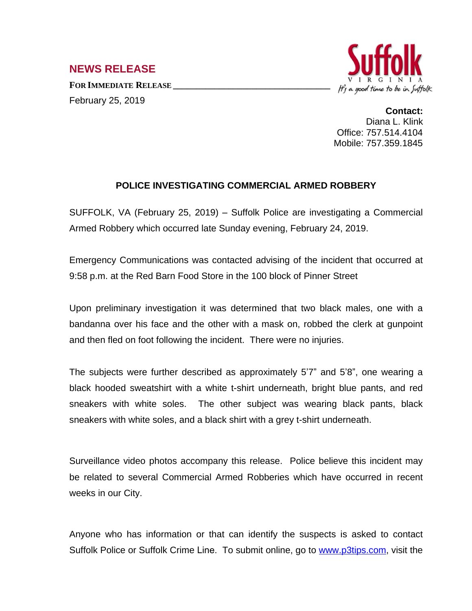## **NEWS RELEASE**

**FOR IMMEDIATE RELEASE \_\_\_\_\_\_\_\_\_\_\_\_\_\_\_\_\_\_\_\_\_\_\_\_\_\_\_\_\_\_\_\_\_\_** February 25, 2019



**Contact:** Diana L. Klink Office: 757.514.4104 Mobile: 757.359.1845

## **POLICE INVESTIGATING COMMERCIAL ARMED ROBBERY**

SUFFOLK, VA (February 25, 2019) – Suffolk Police are investigating a Commercial Armed Robbery which occurred late Sunday evening, February 24, 2019.

Emergency Communications was contacted advising of the incident that occurred at 9:58 p.m. at the Red Barn Food Store in the 100 block of Pinner Street

Upon preliminary investigation it was determined that two black males, one with a bandanna over his face and the other with a mask on, robbed the clerk at gunpoint and then fled on foot following the incident. There were no injuries.

The subjects were further described as approximately 5'7" and 5'8", one wearing a black hooded sweatshirt with a white t-shirt underneath, bright blue pants, and red sneakers with white soles. The other subject was wearing black pants, black sneakers with white soles, and a black shirt with a grey t-shirt underneath.

Surveillance video photos accompany this release. Police believe this incident may be related to several Commercial Armed Robberies which have occurred in recent weeks in our City.

Anyone who has information or that can identify the suspects is asked to contact Suffolk Police or Suffolk Crime Line. To submit online, go to [www.p3tips.com](http://www.p3tips.com), visit the